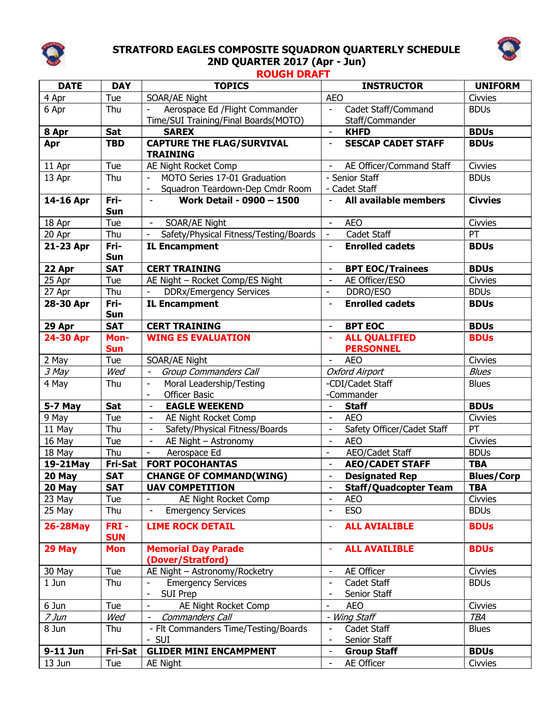

## **STRATFORD EAGLES COMPOSITE SQUADRON QUARTERLY SCHEDULE 2ND QUARTER 2017 (Apr - Jun)**



## **ROUGH DRAFT**

| <b>DATE</b> | <b>DAY</b>            | <b>TOPICS</b>                                              | <b>INSTRUCTOR</b>                                                                   | <b>UNIFORM</b>    |
|-------------|-----------------------|------------------------------------------------------------|-------------------------------------------------------------------------------------|-------------------|
| 4 Apr       | Tue                   | SOAR/AE Night                                              | <b>AEO</b>                                                                          | Civvies           |
| 6 Apr       | Thu                   | Aerospace Ed / Flight Commander                            | Cadet Staff/Command<br>$\overline{\phantom{a}}$                                     | <b>BDUs</b>       |
|             |                       | Time/SUI Training/Final Boards(MOTO)                       | Staff/Commander                                                                     |                   |
| 8 Apr       | <b>Sat</b>            | <b>SAREX</b>                                               | <b>KHFD</b><br>$\overline{\phantom{a}}$                                             | <b>BDUs</b>       |
| Apr         | <b>TBD</b>            | <b>CAPTURE THE FLAG/SURVIVAL</b><br><b>TRAINING</b>        | <b>SESCAP CADET STAFF</b><br>$\overline{\phantom{a}}$                               | <b>BDUs</b>       |
| 11 Apr      | Tue                   | AE Night Rocket Comp                                       | AE Officer/Command Staff<br>$\overline{\phantom{a}}$                                | Civvies           |
| 13 Apr      | Thu                   | MOTO Series 17-01 Graduation                               | - Senior Staff                                                                      | <b>BDUs</b>       |
|             |                       | Squadron Teardown-Dep Cmdr Room                            | - Cadet Staff                                                                       |                   |
| 14-16 Apr   | Fri-<br><b>Sun</b>    | Work Detail - 0900 - 1500<br>$\overline{\phantom{a}}$      | <b>All available members</b><br>$\overline{\phantom{a}}$                            | <b>Civvies</b>    |
| 18 Apr      | Tue                   | SOAR/AE Night<br>$\overline{\phantom{a}}$                  | <b>AEO</b><br>$\overline{\phantom{a}}$                                              | Civvies           |
| 20 Apr      | Thu                   | Safety/Physical Fitness/Testing/Boards                     | Cadet Staff<br>$\overline{\phantom{a}}$                                             | PT                |
| 21-23 Apr   | Fri-                  | <b>IL Encampment</b>                                       | <b>Enrolled cadets</b><br>$\overline{\phantom{a}}$                                  | <b>BDUs</b>       |
|             | <b>Sun</b>            |                                                            |                                                                                     |                   |
| 22 Apr      | <b>SAT</b>            | <b>CERT TRAINING</b>                                       | <b>BPT EOC/Trainees</b><br>$\overline{\phantom{a}}$                                 | <b>BDUs</b>       |
| 25 Apr      | Tue                   | AE Night - Rocket Comp/ES Night                            | AE Officer/ESO<br>$\overline{\phantom{a}}$                                          | Civvies           |
| 27 Apr      | Thu                   | <b>DDRx/Emergency Services</b>                             | DDRO/ESO<br>÷,                                                                      | <b>BDUs</b>       |
| 28-30 Apr   | Fri-                  | <b>IL Encampment</b>                                       | <b>Enrolled cadets</b>                                                              | <b>BDUs</b>       |
|             | <b>Sun</b>            |                                                            |                                                                                     |                   |
| 29 Apr      | <b>SAT</b>            | <b>CERT TRAINING</b>                                       | <b>BPT EOC</b><br>$\overline{\phantom{a}}$                                          | <b>BDUs</b>       |
| 24-30 Apr   | Mon-                  | <b>WING ES EVALUATION</b>                                  | <b>ALL QUALIFIED</b>                                                                | <b>BDUs</b>       |
|             | <b>Sun</b>            |                                                            | <b>PERSONNEL</b>                                                                    |                   |
| 2 May       | Tue                   | SOAR/AE Night                                              | <b>AEO</b>                                                                          | Civvies           |
| 3 May       | Wed                   | Group Commanders Call<br>$\overline{\phantom{a}}$          | <b>Oxford Airport</b>                                                               | <b>Blues</b>      |
| 4 May       | Thu                   | Moral Leadership/Testing<br>$\overline{\phantom{a}}$       | -CDI/Cadet Staff                                                                    | <b>Blues</b>      |
|             |                       | <b>Officer Basic</b><br>$\overline{\phantom{a}}$           | -Commander                                                                          |                   |
| 5-7 May     | <b>Sat</b>            | <b>EAGLE WEEKEND</b><br>$\overline{\phantom{a}}$           | $\blacksquare$<br><b>Staff</b>                                                      | <b>BDUs</b>       |
| 9 May       | Tue                   | AE Night Rocket Comp<br>$\overline{\phantom{a}}$           | <b>AEO</b><br>$\frac{1}{2}$                                                         | Civvies           |
| 11 May      | Thu                   | Safety/Physical Fitness/Boards<br>$\overline{\phantom{a}}$ | Safety Officer/Cadet Staff<br>$\qquad \qquad \blacksquare$                          | PT                |
| 16 May      | Tue                   | AE Night - Astronomy<br>$\overline{\phantom{a}}$           | <b>AEO</b><br>$\overline{\phantom{a}}$                                              | Civvies           |
| 18 May      | Thu                   | Aerospace Ed<br>$\overline{\phantom{a}}$                   | AEO/Cadet Staff<br>$\overline{\phantom{a}}$                                         | <b>BDUs</b>       |
| 19-21May    | Fri-Sat               | <b>FORT POCOHANTAS</b>                                     | <b>AEO/CADET STAFF</b><br>$\overline{\phantom{a}}$                                  | <b>TBA</b>        |
| 20 May      | <b>SAT</b>            | <b>CHANGE OF COMMAND(WING)</b>                             | <b>Designated Rep</b><br>$\overline{\phantom{a}}$                                   | <b>Blues/Corp</b> |
| 20 May      | <b>SAT</b>            | <b>UAV COMPETITION</b>                                     | <b>Staff/Quadcopter Team</b>                                                        | <b>TBA</b>        |
| 23 May      | Tue                   | AE Night Rocket Comp                                       | <b>AEO</b>                                                                          | Civvies           |
| 25 May      | Thu                   | <b>Emergency Services</b><br>$\blacksquare$                | <b>ESO</b><br>$\overline{\phantom{a}}$                                              | <b>BDUs</b>       |
| 26-28May    | $FRI -$<br><b>SUN</b> | <b>LIME ROCK DETAIL</b>                                    | <b>ALL AVIALIBLE</b><br>÷,                                                          | <b>BDUs</b>       |
| 29 May      | <b>Mon</b>            | <b>Memorial Day Parade</b><br>(Dover/Stratford)            | <b>ALL AVAILIBLE</b><br>÷,                                                          | <b>BDUs</b>       |
| 30 May      | Tue                   | AE Night - Astronomy/Rocketry                              | AE Officer<br>$\qquad \qquad \blacksquare$                                          | Civvies           |
| 1 Jun       | Thu                   | <b>Emergency Services</b><br><b>SUI Prep</b>               | Cadet Staff<br>$\overline{\phantom{a}}$<br>Senior Staff<br>$\overline{\phantom{a}}$ | <b>BDUs</b>       |
| 6 Jun       | Tue                   | AE Night Rocket Comp<br>$\overline{\phantom{a}}$           | <b>AEO</b><br>$\overline{\phantom{a}}$                                              | Civvies           |
| $7$ Jun     | Wed                   | Commanders Call<br>$\overline{\phantom{a}}$                | - Wing Staff                                                                        | <b>TBA</b>        |
| 8 Jun       | Thu                   | - Flt Commanders Time/Testing/Boards                       | Cadet Staff<br>$\overline{\phantom{a}}$                                             | <b>Blues</b>      |
|             |                       | - SUI                                                      | Senior Staff<br>$\blacksquare$                                                      |                   |
| 9-11 Jun    | Fri-Sat               | <b>GLIDER MINI ENCAMPMENT</b>                              | <b>Group Staff</b><br>$\overline{\phantom{a}}$                                      | <b>BDUs</b>       |
| 13 Jun      | Tue                   | AE Night                                                   | AE Officer<br>$\blacksquare$                                                        | Civvies           |